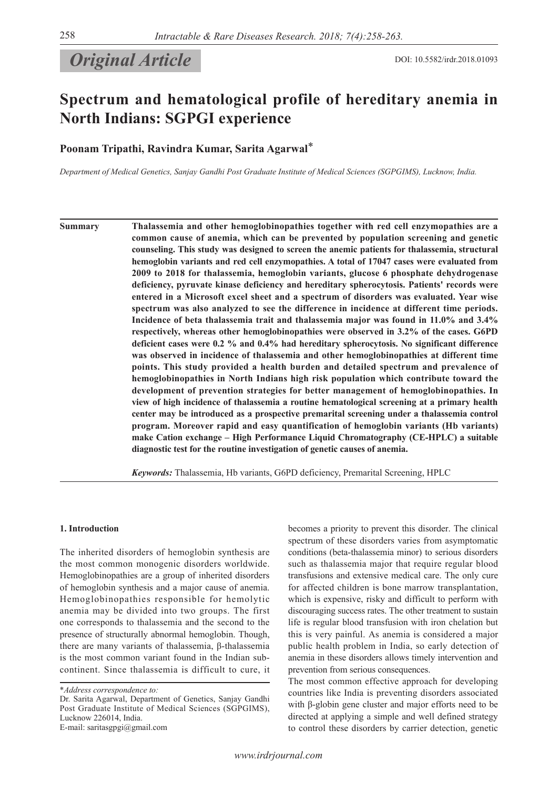# **Original Article** DOI: 10.5582/irdr.2018.01093

## **Spectrum and hematological profile of hereditary anemia in North Indians: SGPGI experience**

**Poonam Tripathi, Ravindra Kumar, Sarita Agarwal**\*

*Department of Medical Genetics, Sanjay Gandhi Post Graduate Institute of Medical Sciences (SGPGIMS), Lucknow, India.*

**Summary Thalassemia and other hemoglobinopathies together with red cell enzymopathies are a common cause of anemia, which can be prevented by population screening and genetic counseling. This study was designed to screen the anemic patients for thalassemia, structural hemoglobin variants and red cell enzymopathies. A total of 17047 cases were evaluated from 2009 to 2018 for thalassemia, hemoglobin variants, glucose 6 phosphate dehydrogenase deficiency, pyruvate kinase deficiency and hereditary spherocytosis. Patients' records were entered in a Microsoft excel sheet and a spectrum of disorders was evaluated. Year wise spectrum was also analyzed to see the difference in incidence at different time periods. Incidence of beta thalassemia trait and thalassemia major was found in 11.0% and 3.4% respectively, whereas other hemoglobinopathies were observed in 3.2% of the cases. G6PD deficient cases were 0.2 % and 0.4% had hereditary spherocytosis. No significant difference was observed in incidence of thalassemia and other hemoglobinopathies at different time points. This study provided a health burden and detailed spectrum and prevalence of hemoglobinopathies in North Indians high risk population which contribute toward the development of prevention strategies for better management of hemoglobinopathies. In view of high incidence of thalassemia a routine hematological screening at a primary health center may be introduced as a prospective premarital screening under a thalassemia control program. Moreover rapid and easy quantification of hemoglobin variants (Hb variants) make Cation exchange – High Performance Liquid Chromatography (CE-HPLC) a suitable diagnostic test for the routine investigation of genetic causes of anemia.**

*Keywords:* Thalassemia, Hb variants, G6PD deficiency, Premarital Screening, HPLC

### **1. Introduction**

The inherited disorders of hemoglobin synthesis are the most common monogenic disorders worldwide. Hemoglobinopathies are a group of inherited disorders of hemoglobin synthesis and a major cause of anemia. Hemoglobinopathies responsible for hemolytic anemia may be divided into two groups. The first one corresponds to thalassemia and the second to the presence of structurally abnormal hemoglobin. Though, there are many variants of thalassemia, β-thalassemia is the most common variant found in the Indian subcontinent. Since thalassemia is difficult to cure, it

\**Address correspondence to:*

becomes a priority to prevent this disorder. The clinical spectrum of these disorders varies from asymptomatic conditions (beta-thalassemia minor) to serious disorders such as thalassemia major that require regular blood transfusions and extensive medical care. The only cure for affected children is bone marrow transplantation, which is expensive, risky and difficult to perform with discouraging success rates. The other treatment to sustain life is regular blood transfusion with iron chelation but this is very painful. As anemia is considered a major public health problem in India, so early detection of anemia in these disorders allows timely intervention and prevention from serious consequences.

The most common effective approach for developing countries like India is preventing disorders associated with β-globin gene cluster and major efforts need to be directed at applying a simple and well defined strategy to control these disorders by carrier detection, genetic

Dr. Sarita Agarwal, Department of Genetics, Sanjay Gandhi Post Graduate Institute of Medical Sciences (SGPGIMS), Lucknow 226014, India. E-mail: saritasgpgi@gmail.com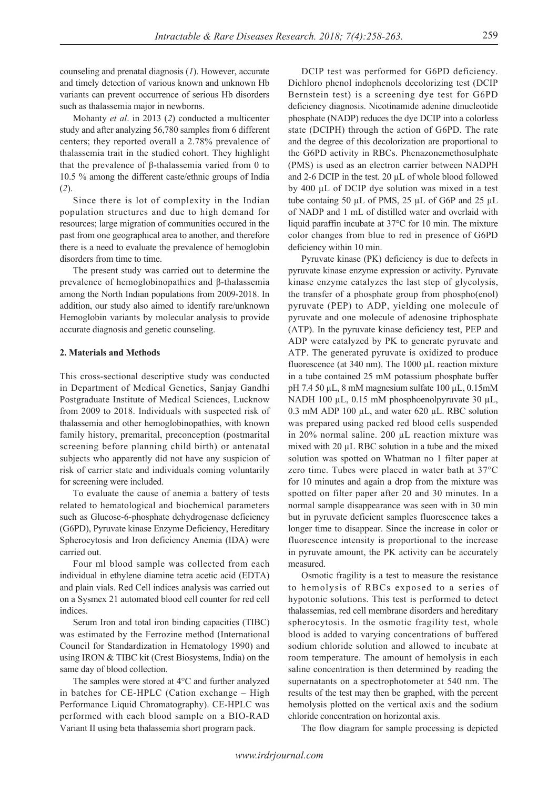counseling and prenatal diagnosis (*1*). However, accurate and timely detection of various known and unknown Hb variants can prevent occurrence of serious Hb disorders such as thalassemia major in newborns.

Mohanty *et al*. in 2013 (*2*) conducted a multicenter study and after analyzing 56,780 samples from 6 different centers; they reported overall a 2.78% prevalence of thalassemia trait in the studied cohort. They highlight that the prevalence of β-thalassemia varied from 0 to 10.5 % among the different caste/ethnic groups of India (*2*).

Since there is lot of complexity in the Indian population structures and due to high demand for resources; large migration of communities occured in the past from one geographical area to another, and therefore there is a need to evaluate the prevalence of hemoglobin disorders from time to time.

The present study was carried out to determine the prevalence of hemoglobinopathies and β-thalassemia among the North Indian populations from 2009-2018. In addition, our study also aimed to identify rare/unknown Hemoglobin variants by molecular analysis to provide accurate diagnosis and genetic counseling.

#### **2. Materials and Methods**

This cross-sectional descriptive study was conducted in Department of Medical Genetics, Sanjay Gandhi Postgraduate Institute of Medical Sciences, Lucknow from 2009 to 2018. Individuals with suspected risk of thalassemia and other hemoglobinopathies, with known family history, premarital, preconception (postmarital screening before planning child birth) or antenatal subjects who apparently did not have any suspicion of risk of carrier state and individuals coming voluntarily for screening were included.

To evaluate the cause of anemia a battery of tests related to hematological and biochemical parameters such as Glucose-6-phosphate dehydrogenase deficiency (G6PD), Pyruvate kinase Enzyme Deficiency, Hereditary Spherocytosis and Iron deficiency Anemia (IDA) were carried out.

Four ml blood sample was collected from each individual in ethylene diamine tetra acetic acid (EDTA) and plain vials. Red Cell indices analysis was carried out on a Sysmex 21 automated blood cell counter for red cell indices.

Serum Iron and total iron binding capacities (TIBC) was estimated by the Ferrozine method (International Council for Standardization in Hematology 1990) and using IRON & TIBC kit (Crest Biosystems, India) on the same day of blood collection.

The samples were stored at 4°C and further analyzed in batches for CE-HPLC (Cation exchange – High Performance Liquid Chromatography). CE-HPLC was performed with each blood sample on a BIO-RAD Variant II using beta thalassemia short program pack.

DCIP test was performed for G6PD deficiency. Dichloro phenol indophenols decolorizing test (DCIP Bernstein test) is a screening dye test for G6PD deficiency diagnosis. Nicotinamide adenine dinucleotide phosphate (NADP) reduces the dye DCIP into a colorless state (DCIPH) through the action of G6PD. The rate and the degree of this decolorization are proportional to the G6PD activity in RBCs. Phenazonemethosulphate (PMS) is used as an electron carrier between NADPH and 2-6 DCIP in the test. 20 µL of whole blood followed by 400 µL of DCIP dye solution was mixed in a test tube containg 50 µL of PMS, 25 µL of G6P and 25 µL of NADP and 1 mL of distilled water and overlaid with liquid paraffin incubate at 37°C for 10 min. The mixture color changes from blue to red in presence of G6PD deficiency within 10 min.

Pyruvate kinase (PK) deficiency is due to defects in pyruvate kinase enzyme expression or activity. Pyruvate kinase enzyme catalyzes the last step of glycolysis, the transfer of a phosphate group from phospho(enol) pyruvate (PEP) to ADP, yielding one molecule of pyruvate and one molecule of adenosine triphosphate (ATP). In the pyruvate kinase deficiency test, PEP and ADP were catalyzed by PK to generate pyruvate and ATP. The generated pyruvate is oxidized to produce fluorescence (at 340 nm). The 1000 µL reaction mixture in a tube contained 25 mM potassium phosphate buffer pH 7.4 50 µL, 8 mM magnesium sulfate 100 µL, 0.15mM NADH 100 µL, 0.15 mM phosphoenolpyruvate 30 µL, 0.3 mM ADP 100 µL, and water 620 µL. RBC solution was prepared using packed red blood cells suspended in 20% normal saline. 200 µL reaction mixture was mixed with 20 µL RBC solution in a tube and the mixed solution was spotted on Whatman no 1 filter paper at zero time. Tubes were placed in water bath at 37°C for 10 minutes and again a drop from the mixture was spotted on filter paper after 20 and 30 minutes. In a normal sample disappearance was seen with in 30 min but in pyruvate deficient samples fluorescence takes a longer time to disappear. Since the increase in color or fluorescence intensity is proportional to the increase in pyruvate amount, the PK activity can be accurately measured.

Osmotic fragility is a test to measure the resistance to hemolysis of RBCs exposed to a series of hypotonic solutions. This test is performed to detect thalassemias, red cell membrane disorders and hereditary spherocytosis. In the osmotic fragility test, whole blood is added to varying concentrations of buffered sodium chloride solution and allowed to incubate at room temperature. The amount of hemolysis in each saline concentration is then determined by reading the supernatants on a spectrophotometer at 540 nm. The results of the test may then be graphed, with the percent hemolysis plotted on the vertical axis and the sodium chloride concentration on horizontal axis.

The flow diagram for sample processing is depicted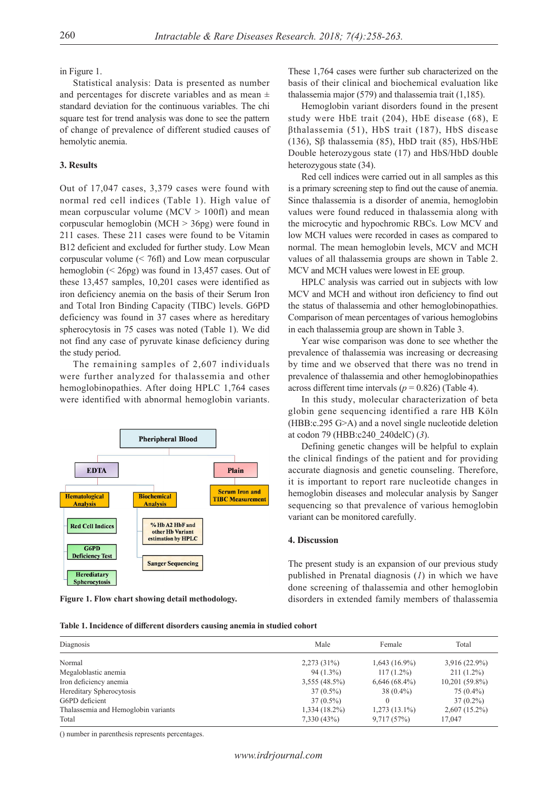in Figure 1.

Statistical analysis: Data is presented as number and percentages for discrete variables and as mean  $\pm$ standard deviation for the continuous variables. The chi square test for trend analysis was done to see the pattern of change of prevalence of different studied causes of hemolytic anemia.

#### **3. Results**

Out of 17,047 cases, 3,379 cases were found with normal red cell indices (Table 1). High value of mean corpuscular volume ( $MCV > 100$ fl) and mean corpuscular hemoglobin (MCH > 36pg) were found in 211 cases. These 211 cases were found to be Vitamin B12 deficient and excluded for further study. Low Mean corpuscular volume (< 76fl) and Low mean corpuscular hemoglobin (< 26pg) was found in 13,457 cases. Out of these 13,457 samples, 10,201 cases were identified as iron deficiency anemia on the basis of their Serum Iron and Total Iron Binding Capacity (TIBC) levels. G6PD deficiency was found in 37 cases where as hereditary spherocytosis in 75 cases was noted (Table 1). We did not find any case of pyruvate kinase deficiency during the study period.

The remaining samples of 2,607 individuals were further analyzed for thalassemia and other hemoglobinopathies. After doing HPLC 1,764 cases were identified with abnormal hemoglobin variants.



**Figure 1. Flow chart showing detail methodology.**

These 1,764 cases were further sub characterized on the basis of their clinical and biochemical evaluation like thalassemia major (579) and thalassemia trait (1,185).

Hemoglobin variant disorders found in the present study were HbE trait (204), HbE disease (68), E βthalassemia (51), HbS trait (187), HbS disease (136), S $\beta$  thalassemia (85), HbD trait (85), HbS/HbE Double heterozygous state (17) and HbS/HbD double heterozygous state (34).

Red cell indices were carried out in all samples as this is a primary screening step to find out the cause of anemia. Since thalassemia is a disorder of anemia, hemoglobin values were found reduced in thalassemia along with the microcytic and hypochromic RBCs. Low MCV and low MCH values were recorded in cases as compared to normal. The mean hemoglobin levels, MCV and MCH values of all thalassemia groups are shown in Table 2. MCV and MCH values were lowest in EE group.

HPLC analysis was carried out in subjects with low MCV and MCH and without iron deficiency to find out the status of thalassemia and other hemoglobinopathies. Comparison of mean percentages of various hemoglobins in each thalassemia group are shown in Table 3.

Year wise comparison was done to see whether the prevalence of thalassemia was increasing or decreasing by time and we observed that there was no trend in prevalence of thalassemia and other hemoglobinopathies across different time intervals ( $p = 0.826$ ) (Table 4).

In this study, molecular characterization of beta globin gene sequencing identified a rare HB Köln (HBB:c.295 G>A) and a novel single nucleotide deletion at codon 79 (HBB:c240\_240delC) (*3*).

Defining genetic changes will be helpful to explain the clinical findings of the patient and for providing accurate diagnosis and genetic counseling. Therefore, it is important to report rare nucleotide changes in hemoglobin diseases and molecular analysis by Sanger sequencing so that prevalence of various hemoglobin variant can be monitored carefully.

#### **4. Discussion**

The present study is an expansion of our previous study published in Prenatal diagnosis (*1*) in which we have done screening of thalassemia and other hemoglobin disorders in extended family members of thalassemia

| Table 1. Incidence of different disorders causing anemia in studied cohort |  |  |  |
|----------------------------------------------------------------------------|--|--|--|
|                                                                            |  |  |  |

| Diagnosis                           | Male            | Female          | Total            |
|-------------------------------------|-----------------|-----------------|------------------|
| Normal                              | $2,273(31\%)$   | $1,643(16.9\%)$ | 3,916 (22.9%)    |
| Megaloblastic anemia                | $94(1.3\%)$     | $117(1.2\%)$    | $211(1.2\%)$     |
| Iron deficiency anemia              | $3,555(48.5\%)$ | $6,646(68.4\%)$ | $10,201(59.8\%)$ |
| Hereditary Spherocytosis            | $37(0.5\%)$     | $38(0.4\%)$     | $75(0.4\%)$      |
| G6PD deficient                      | $37(0.5\%)$     |                 | $37(0.2\%)$      |
| Thalassemia and Hemoglobin variants | $1,334(18.2\%)$ | $1,273(13.1\%)$ | $2,607(15.2\%)$  |
| Total                               | 7,330(43%)      | 9,717(57%)      | 17,047           |

() number in parenthesis represents percentages.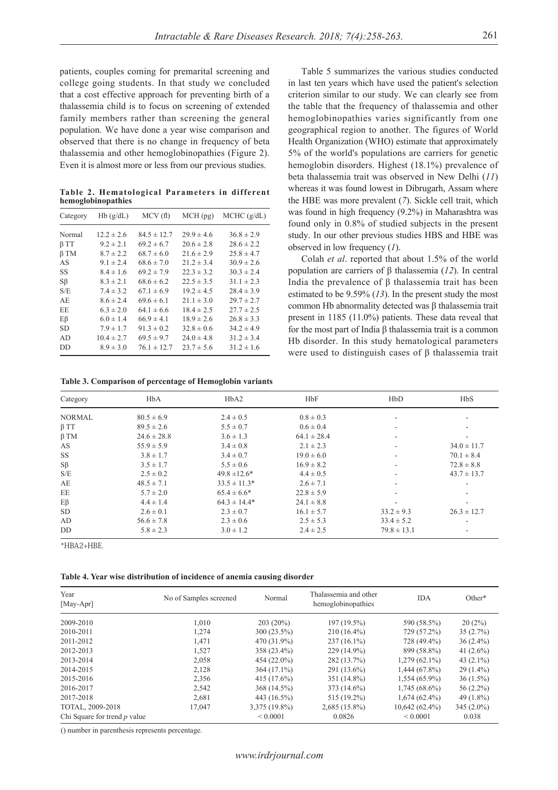patients, couples coming for premarital screening and college going students. In that study we concluded that a cost effective approach for preventing birth of a thalassemia child is to focus on screening of extended family members rather than screening the general population. We have done a year wise comparison and observed that there is no change in frequency of beta thalassemia and other hemoglobinopathies (Figure 2). Even it is almost more or less from our previous studies.

**Table 2. Hematological Parameters in different hemoglobinopathies**

| Category       | Hb(g/dL)       | MCV(f)          | $MCH$ (pg)     | MCHC (g/dL)    |
|----------------|----------------|-----------------|----------------|----------------|
| Normal         | $12.2 \pm 2.6$ | $84.5 \pm 12.7$ | $29.9 \pm 4.6$ | $36.8 \pm 2.9$ |
| $\beta$ TT     | $9.2 \pm 2.1$  | $69.2 \pm 6.7$  | $20.6 \pm 2.8$ | $28.6 \pm 2.2$ |
| $\beta$ TM     | $8.7 \pm 2.2$  | $68.7 \pm 6.0$  | $21.6 \pm 2.9$ | $25.8 \pm 4.7$ |
| AS             | $9.1 \pm 2.4$  | $68.6 \pm 7.0$  | $21.2 \pm 3.4$ | $30.9 \pm 2.6$ |
| SS             | $8.4 \pm 1.6$  | $69.2 \pm 7.9$  | $22.3 \pm 3.2$ | $30.3 \pm 2.4$ |
| $S\beta$       | $8.3 \pm 2.1$  | $68.6 \pm 6.2$  | $22.5 \pm 3.5$ | $31.1 \pm 2.3$ |
| S/E            | $7.4 \pm 3.2$  | $67.1 \pm 6.9$  | $19.2 \pm 4.5$ | $28.4 \pm 3.9$ |
| AE             | $8.6 \pm 2.4$  | $69.6 \pm 6.1$  | $21.1 \pm 3.0$ | $29.7 \pm 2.7$ |
| FF.            | $6.3 \pm 2.0$  | $64.1 \pm 6.6$  | $18.4 \pm 2.5$ | $27.7 \pm 2.5$ |
| $E\beta$       | $6.0 \pm 1.4$  | $66.9 \pm 4.1$  | $18.9 \pm 2.6$ | $26.8 \pm 3.3$ |
| SD.            | $7.9 \pm 1.7$  | $91.3 \pm 0.2$  | $32.8 \pm 0.6$ | $34.2 \pm 4.9$ |
| AD             | $10.4 \pm 2.7$ | $69.5 \pm 9.7$  | $24.0 \pm 4.8$ | $31.2 \pm 3.4$ |
| D <sub>D</sub> | $8.9 \pm 3.0$  | $76.1 \pm 12.7$ | $23.7 \pm 5.6$ | $31.2 \pm 1.6$ |

**Table 3. Comparison of percentage of Hemoglobin variants** 

Table 5 summarizes the various studies conducted in last ten years which have used the patient's selection criterion similar to our study. We can clearly see from the table that the frequency of thalassemia and other hemoglobinopathies varies significantly from one geographical region to another. The figures of World Health Organization (WHO) estimate that approximately 5% of the world's populations are carriers for genetic hemoglobin disorders. Highest (18.1%) prevalence of beta thalassemia trait was observed in New Delhi (*11*) whereas it was found lowest in Dibrugarh, Assam where the HBE was more prevalent (*7*). Sickle cell trait, which was found in high frequency (9.2%) in Maharashtra was found only in 0.8% of studied subjects in the present study. In our other previous studies HBS and HBE was observed in low frequency (*1*).

Colah *et al*. reported that about 1.5% of the world population are carriers of β thalassemia (*12*). In central India the prevalence of β thalassemia trait has been estimated to be 9.59% (*13*). In the present study the most common Hb abnormality detected was β thalassemia trait present in 1185 (11.0%) patients. These data reveal that for the most part of India β thalassemia trait is a common Hb disorder. In this study hematological parameters were used to distinguish cases of β thalassemia trait

| Category      | HbA             | H <sub>b</sub> A <sub>2</sub> | HbF             | HbD             | HbS             |
|---------------|-----------------|-------------------------------|-----------------|-----------------|-----------------|
| <b>NORMAL</b> | $80.5 \pm 6.9$  | $2.4 \pm 0.5$                 | $0.8 \pm 0.3$   |                 |                 |
| $\beta$ TT    | $89.5 \pm 2.6$  | $5.5 \pm 0.7$                 | $0.6 \pm 0.4$   | ۰               | ٠               |
| $\beta$ TM    | $24.6 \pm 28.8$ | $3.6 \pm 1.3$                 | $64.1 \pm 28.4$ |                 | ٠               |
| AS            | $55.9 \pm 5.9$  | $3.4 \pm 0.8$                 | $2.1 \pm 2.3$   | ۰               | $34.0 \pm 11.7$ |
| <b>SS</b>     | $3.8 \pm 1.7$   | $3.4 \pm 0.7$                 | $19.0 \pm 6.0$  | ۰               | $70.1 \pm 8.4$  |
| $S\beta$      | $3.5 \pm 1.7$   | $5.5 \pm 0.6$                 | $16.9 \pm 8.2$  | ۰               | $72.8 \pm 8.8$  |
| S/E           | $2.5 \pm 0.2$   | $49.8 \pm 12.6^*$             | $4.4 \pm 0.5$   | ۰               | $43.7 \pm 13.7$ |
| AE            | $48.5 \pm 7.1$  | $33.5 \pm 11.3*$              | $2.6 \pm 7.1$   | ۰               | -               |
| EE            | $5.7 \pm 2.0$   | $65.4 \pm 6.6^*$              | $22.8 \pm 5.9$  | ۰               | ٠               |
| $E\beta$      | $4.4 \pm 1.4$   | $64.3 \pm 14.4*$              | $24.1 \pm 8.8$  |                 |                 |
| <b>SD</b>     | $2.6 \pm 0.1$   | $2.3 \pm 0.7$                 | $16.1 \pm 5.7$  | $33.2 \pm 9.3$  | $26.3 \pm 12.7$ |
| AD            | $56.6 \pm 7.8$  | $2.3 \pm 0.6$                 | $2.5 \pm 5.3$   | $33.4 \pm 5.2$  | ٠               |
| DD            | $5.8 \pm 2.3$   | $3.0 \pm 1.2$                 | $2.4 \pm 2.5$   | $79.8 \pm 13.1$ | ۰.              |

\*HBA2+HBE.

**Table 4. Year wise distribution of incidence of anemia causing disorder**

| Year<br>$[May-Apr]$          | No of Samples screened | Normal          | Thalassemia and other<br>hemoglobinopathies | <b>IDA</b>       | $Other*$     |
|------------------------------|------------------------|-----------------|---------------------------------------------|------------------|--------------|
| 2009-2010                    | 1,010                  | 203(20%)        | 197 (19.5%)                                 | 590 (58.5%)      | 20(2%)       |
| 2010-2011                    | 1,274                  | $300(23.5\%)$   | $210(16.4\%)$                               | 729 (57.2%)      | 35(2.7%)     |
| 2011-2012                    | 1,471                  | 470 (31.9%)     | $237(16.1\%)$                               | 728 (49.4%)      | $36(2.4\%)$  |
| 2012-2013                    | 1,527                  | 358 (23.4%)     | $229(14.9\%)$                               | 899 (58.8%)      | 41 $(2.6\%)$ |
| 2013-2014                    | 2.058                  | 454 (22.0%)     | 282 (13.7%)                                 | $1,279(62.1\%)$  | 43 $(2.1\%)$ |
| 2014-2015                    | 2,128                  | $364(17.1\%)$   | 291 (13.6%)                                 | $1,444(67.8\%)$  | $29(1.4\%)$  |
| 2015-2016                    | 2,356                  | $415(17.6\%)$   | 351 (14.8%)                                 | $1,554(65.9\%)$  | $36(1.5\%)$  |
| 2016-2017                    | 2,542                  | 368 (14.5%)     | 373 (14.6%)                                 | $1,745(68.6\%)$  | 56 (2.2%)    |
| 2017-2018                    | 2.681                  | 443 (16.5%)     | 515 (19.2%)                                 | $1,674(62.4\%)$  | 49 $(1.8\%)$ |
| TOTAL, 2009-2018             | 17,047                 | $3,375(19.8\%)$ | $2,685(15.8\%)$                             | $10,642(62.4\%)$ | $345(2.0\%)$ |
| Chi Square for trend p value |                        | ${}_{0.0001}$   | 0.0826                                      | ${}_{0.0001}$    | 0.038        |

() number in parenthesis represents percentage.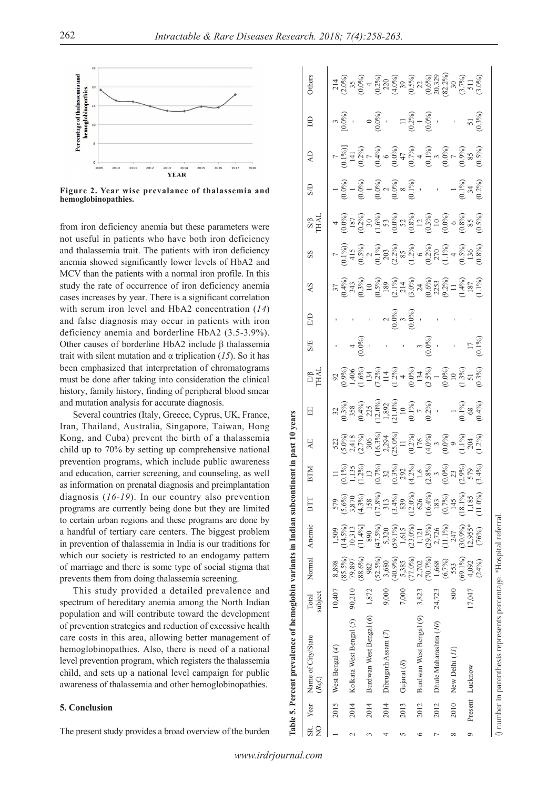$\overline{1}$ 



**Figure 2. Year wise prevalance of thalassemia and hemoglobinopathies.**

from iron deficiency anemia but these parameters were not useful in patients who have both iron deficiency and thalassemia trait. The patients with iron deficiency anemia showed significantly lower levels of HbA2 and MCV than the patients with a normal iron profile. In this study the rate of occurrence of iron deficiency anemia cases increases by year. There is a significant correlation with serum iron level and HbA2 concentration (*14*) and false diagnosis may occur in patients with iron deficiency anemia and borderline HbA2 (3.5-3.9%). Other causes of borderline HbA2 include β thalassemia trait with silent mutation and α triplication (*15*). So it has been emphasized that interpretation of chromatograms must be done after taking into consideration the clinical history, family history, finding of peripheral blood smear and mutation analysis for accurate diagnosis.

Several countries (Italy, Greece, Cyprus, UK, France, Iran, Thailand, Australia, Singapore, Taiwan, Hong Kong, and Cuba) prevent the birth of a thalassemia child up to 70% by setting up comprehensive national prevention programs, which include public awareness and education, carrier screening, and counseling, as well as information on prenatal diagnosis and preimplantation diagnosis (*16-19*). In our country also prevention programs are currently being done but they are limited to certain urban regions and these programs are done by a handful of tertiary care centers. The biggest problem in prevention of thalassemia in India is our traditions for which our society is restricted to an endogamy pattern of marriage and there is some type of social stigma that prevents them from doing thalassemia screening.

This study provided a detailed prevalence and spectrum of hereditary anemia among the North Indian population and will contribute toward the development of prevention strategies and reduction of excessive health care costs in this area, allowing better management of hemoglobinopathies. Also, there is need of a national level prevention program, which registers the thalassemia child, and sets up a national level campaign for public awareness of thalassemia and other hemoglobinopathies.

#### **5. Conclusion**

The present study provides a broad overview of the burden

| Year | Name of City/State<br>(Ref.)  | subject<br>Total | Normal Anemic                                                                                    |                                                                                  |                                                                                                                                                                                                                                                                                                                                                                | <b>NTR</b>                                                                                                                                                                                                                                                                                                                   | Æ                                                                                                                                                                                                                                                                                                                                                                                                                           | EE                                                                                                                                                                                        | E/B<br>THAL                                                                                                                                                                                                                                                                                                                    | SÆ                                                            | ED                                                                                                                                                                                                                                                                                                                        | AS                                                                                                                                                                                                                                                                                                       | SS                                                                                                                                                                                                                                                                                                                          | <b>S/B</b><br>THAL | $\frac{1}{2}$                                                                                   | $\overline{A}$                                                                                                                                                                                                                                                                                                | БD                                                                                                     | Others                                                                                                                                                                                                                                                                                                                                                                             |
|------|-------------------------------|------------------|--------------------------------------------------------------------------------------------------|----------------------------------------------------------------------------------|----------------------------------------------------------------------------------------------------------------------------------------------------------------------------------------------------------------------------------------------------------------------------------------------------------------------------------------------------------------|------------------------------------------------------------------------------------------------------------------------------------------------------------------------------------------------------------------------------------------------------------------------------------------------------------------------------|-----------------------------------------------------------------------------------------------------------------------------------------------------------------------------------------------------------------------------------------------------------------------------------------------------------------------------------------------------------------------------------------------------------------------------|-------------------------------------------------------------------------------------------------------------------------------------------------------------------------------------------|--------------------------------------------------------------------------------------------------------------------------------------------------------------------------------------------------------------------------------------------------------------------------------------------------------------------------------|---------------------------------------------------------------|---------------------------------------------------------------------------------------------------------------------------------------------------------------------------------------------------------------------------------------------------------------------------------------------------------------------------|----------------------------------------------------------------------------------------------------------------------------------------------------------------------------------------------------------------------------------------------------------------------------------------------------------|-----------------------------------------------------------------------------------------------------------------------------------------------------------------------------------------------------------------------------------------------------------------------------------------------------------------------------|--------------------|-------------------------------------------------------------------------------------------------|---------------------------------------------------------------------------------------------------------------------------------------------------------------------------------------------------------------------------------------------------------------------------------------------------------------|--------------------------------------------------------------------------------------------------------|------------------------------------------------------------------------------------------------------------------------------------------------------------------------------------------------------------------------------------------------------------------------------------------------------------------------------------------------------------------------------------|
| 2015 | West Bengal (4)               | 10,407           | 8,898                                                                                            | 1,509                                                                            | 579                                                                                                                                                                                                                                                                                                                                                            |                                                                                                                                                                                                                                                                                                                              |                                                                                                                                                                                                                                                                                                                                                                                                                             |                                                                                                                                                                                           |                                                                                                                                                                                                                                                                                                                                |                                                               |                                                                                                                                                                                                                                                                                                                           |                                                                                                                                                                                                                                                                                                          |                                                                                                                                                                                                                                                                                                                             |                    |                                                                                                 |                                                                                                                                                                                                                                                                                                               |                                                                                                        |                                                                                                                                                                                                                                                                                                                                                                                    |
|      |                               |                  |                                                                                                  |                                                                                  |                                                                                                                                                                                                                                                                                                                                                                |                                                                                                                                                                                                                                                                                                                              |                                                                                                                                                                                                                                                                                                                                                                                                                             |                                                                                                                                                                                           |                                                                                                                                                                                                                                                                                                                                |                                                               |                                                                                                                                                                                                                                                                                                                           |                                                                                                                                                                                                                                                                                                          |                                                                                                                                                                                                                                                                                                                             |                    |                                                                                                 |                                                                                                                                                                                                                                                                                                               |                                                                                                        |                                                                                                                                                                                                                                                                                                                                                                                    |
| 2014 | Kolkata West Bengal (5)       | 90,210           | $(85.5\%)$<br>79,897                                                                             |                                                                                  |                                                                                                                                                                                                                                                                                                                                                                |                                                                                                                                                                                                                                                                                                                              |                                                                                                                                                                                                                                                                                                                                                                                                                             |                                                                                                                                                                                           |                                                                                                                                                                                                                                                                                                                                |                                                               |                                                                                                                                                                                                                                                                                                                           |                                                                                                                                                                                                                                                                                                          |                                                                                                                                                                                                                                                                                                                             |                    |                                                                                                 |                                                                                                                                                                                                                                                                                                               |                                                                                                        |                                                                                                                                                                                                                                                                                                                                                                                    |
|      |                               |                  |                                                                                                  | $(14.5\%)$<br>10,313<br>(11.4%]<br>(11.4%]                                       |                                                                                                                                                                                                                                                                                                                                                                |                                                                                                                                                                                                                                                                                                                              |                                                                                                                                                                                                                                                                                                                                                                                                                             |                                                                                                                                                                                           |                                                                                                                                                                                                                                                                                                                                |                                                               |                                                                                                                                                                                                                                                                                                                           |                                                                                                                                                                                                                                                                                                          |                                                                                                                                                                                                                                                                                                                             |                    |                                                                                                 |                                                                                                                                                                                                                                                                                                               |                                                                                                        |                                                                                                                                                                                                                                                                                                                                                                                    |
| 2014 | Burdwan West Bengal (6) 1,872 |                  | $(88.6\%)$<br>982                                                                                |                                                                                  |                                                                                                                                                                                                                                                                                                                                                                |                                                                                                                                                                                                                                                                                                                              |                                                                                                                                                                                                                                                                                                                                                                                                                             |                                                                                                                                                                                           |                                                                                                                                                                                                                                                                                                                                |                                                               |                                                                                                                                                                                                                                                                                                                           |                                                                                                                                                                                                                                                                                                          |                                                                                                                                                                                                                                                                                                                             |                    |                                                                                                 |                                                                                                                                                                                                                                                                                                               |                                                                                                        |                                                                                                                                                                                                                                                                                                                                                                                    |
|      |                               |                  |                                                                                                  |                                                                                  | $\begin{array}{l} (5.6\%) \\ 3.870 \\ (4.3\%) \\ (1.8\%) \\ (1.8\%) \\ (1.8\%) \\ (3.4\%) \\ (2.0\%) \\ (3.4\%) \\ (1.6\%) \\ (2.0\%) \\ (3.3\%) \\ (4.4\%) \\ (5.3\%) \\ (6.4\%) \\ (7.3\%) \\ (8.3\%) \\ (1.3\%) \\ (1.3\%) \\ (1.3\%) \\ (1.3\%) \\ (1.3\%) \\ (1.3\%) \\ (1.3\%) \\ (1.3\%) \\ (1.3\%) \\ (1.3\%) \\ (1.3\%) \\ (1.3\%) \\ (1.3\%) \\ (1.$ |                                                                                                                                                                                                                                                                                                                              |                                                                                                                                                                                                                                                                                                                                                                                                                             |                                                                                                                                                                                           |                                                                                                                                                                                                                                                                                                                                |                                                               |                                                                                                                                                                                                                                                                                                                           |                                                                                                                                                                                                                                                                                                          |                                                                                                                                                                                                                                                                                                                             |                    |                                                                                                 |                                                                                                                                                                                                                                                                                                               |                                                                                                        |                                                                                                                                                                                                                                                                                                                                                                                    |
| 2014 | Dibrugarh Assam (7)           | 9,000            |                                                                                                  |                                                                                  |                                                                                                                                                                                                                                                                                                                                                                |                                                                                                                                                                                                                                                                                                                              |                                                                                                                                                                                                                                                                                                                                                                                                                             |                                                                                                                                                                                           |                                                                                                                                                                                                                                                                                                                                |                                                               |                                                                                                                                                                                                                                                                                                                           |                                                                                                                                                                                                                                                                                                          |                                                                                                                                                                                                                                                                                                                             |                    |                                                                                                 |                                                                                                                                                                                                                                                                                                               |                                                                                                        |                                                                                                                                                                                                                                                                                                                                                                                    |
|      |                               |                  |                                                                                                  |                                                                                  |                                                                                                                                                                                                                                                                                                                                                                |                                                                                                                                                                                                                                                                                                                              |                                                                                                                                                                                                                                                                                                                                                                                                                             |                                                                                                                                                                                           |                                                                                                                                                                                                                                                                                                                                |                                                               |                                                                                                                                                                                                                                                                                                                           |                                                                                                                                                                                                                                                                                                          |                                                                                                                                                                                                                                                                                                                             |                    |                                                                                                 |                                                                                                                                                                                                                                                                                                               |                                                                                                        |                                                                                                                                                                                                                                                                                                                                                                                    |
| 2013 | Gujarat $(\mathcal{S})$       | 7,000            |                                                                                                  |                                                                                  |                                                                                                                                                                                                                                                                                                                                                                |                                                                                                                                                                                                                                                                                                                              |                                                                                                                                                                                                                                                                                                                                                                                                                             |                                                                                                                                                                                           |                                                                                                                                                                                                                                                                                                                                |                                                               |                                                                                                                                                                                                                                                                                                                           |                                                                                                                                                                                                                                                                                                          |                                                                                                                                                                                                                                                                                                                             |                    |                                                                                                 |                                                                                                                                                                                                                                                                                                               |                                                                                                        |                                                                                                                                                                                                                                                                                                                                                                                    |
|      |                               |                  |                                                                                                  |                                                                                  |                                                                                                                                                                                                                                                                                                                                                                |                                                                                                                                                                                                                                                                                                                              |                                                                                                                                                                                                                                                                                                                                                                                                                             |                                                                                                                                                                                           |                                                                                                                                                                                                                                                                                                                                |                                                               |                                                                                                                                                                                                                                                                                                                           |                                                                                                                                                                                                                                                                                                          |                                                                                                                                                                                                                                                                                                                             |                    |                                                                                                 |                                                                                                                                                                                                                                                                                                               |                                                                                                        |                                                                                                                                                                                                                                                                                                                                                                                    |
| 2012 | Burdwan West Bengal (9)       | 3,823            |                                                                                                  |                                                                                  |                                                                                                                                                                                                                                                                                                                                                                |                                                                                                                                                                                                                                                                                                                              |                                                                                                                                                                                                                                                                                                                                                                                                                             |                                                                                                                                                                                           |                                                                                                                                                                                                                                                                                                                                |                                                               |                                                                                                                                                                                                                                                                                                                           |                                                                                                                                                                                                                                                                                                          |                                                                                                                                                                                                                                                                                                                             |                    |                                                                                                 |                                                                                                                                                                                                                                                                                                               |                                                                                                        |                                                                                                                                                                                                                                                                                                                                                                                    |
|      |                               |                  |                                                                                                  |                                                                                  |                                                                                                                                                                                                                                                                                                                                                                |                                                                                                                                                                                                                                                                                                                              |                                                                                                                                                                                                                                                                                                                                                                                                                             |                                                                                                                                                                                           |                                                                                                                                                                                                                                                                                                                                |                                                               |                                                                                                                                                                                                                                                                                                                           |                                                                                                                                                                                                                                                                                                          |                                                                                                                                                                                                                                                                                                                             |                    |                                                                                                 |                                                                                                                                                                                                                                                                                                               |                                                                                                        |                                                                                                                                                                                                                                                                                                                                                                                    |
| 2012 | Dhule Maharashtra (10)        | 24,723           | $(52.5\%)$<br>$3,680$<br>$(40.9\%)$<br>$5,385$<br>$(77.0\%)$<br>$2,702$<br>$(70.7\%)$<br>$1,668$ | $(47.5\%)$<br>5,320<br>5,320<br>5,320<br>5,320<br>1,121<br>(11.1%)<br>247<br>247 |                                                                                                                                                                                                                                                                                                                                                                |                                                                                                                                                                                                                                                                                                                              |                                                                                                                                                                                                                                                                                                                                                                                                                             |                                                                                                                                                                                           |                                                                                                                                                                                                                                                                                                                                |                                                               |                                                                                                                                                                                                                                                                                                                           |                                                                                                                                                                                                                                                                                                          |                                                                                                                                                                                                                                                                                                                             |                    |                                                                                                 |                                                                                                                                                                                                                                                                                                               |                                                                                                        |                                                                                                                                                                                                                                                                                                                                                                                    |
|      |                               |                  |                                                                                                  |                                                                                  |                                                                                                                                                                                                                                                                                                                                                                |                                                                                                                                                                                                                                                                                                                              |                                                                                                                                                                                                                                                                                                                                                                                                                             |                                                                                                                                                                                           |                                                                                                                                                                                                                                                                                                                                |                                                               |                                                                                                                                                                                                                                                                                                                           |                                                                                                                                                                                                                                                                                                          |                                                                                                                                                                                                                                                                                                                             |                    |                                                                                                 |                                                                                                                                                                                                                                                                                                               |                                                                                                        |                                                                                                                                                                                                                                                                                                                                                                                    |
| 2010 | New Delhi (11)                | 800              | $(6.7\%)$<br>553                                                                                 |                                                                                  |                                                                                                                                                                                                                                                                                                                                                                |                                                                                                                                                                                                                                                                                                                              |                                                                                                                                                                                                                                                                                                                                                                                                                             |                                                                                                                                                                                           |                                                                                                                                                                                                                                                                                                                                |                                                               |                                                                                                                                                                                                                                                                                                                           |                                                                                                                                                                                                                                                                                                          |                                                                                                                                                                                                                                                                                                                             |                    |                                                                                                 |                                                                                                                                                                                                                                                                                                               |                                                                                                        |                                                                                                                                                                                                                                                                                                                                                                                    |
|      |                               |                  |                                                                                                  |                                                                                  | $\begin{array}{c} (0.7\%) \\ 145 \\ 18.1\% \\ 1.185 \\ 1.185 \\ (11.0\%) \end{array}$                                                                                                                                                                                                                                                                          |                                                                                                                                                                                                                                                                                                                              |                                                                                                                                                                                                                                                                                                                                                                                                                             |                                                                                                                                                                                           |                                                                                                                                                                                                                                                                                                                                |                                                               | $\begin{pmatrix} 1 & 1 & 1 & 1 & 1 & 1 \\ 1 & 1 & 1 & 1 & 1 & 1 \\ 1 & 1 & 1 & 1 & 1 & 1 \\ 1 & 1 & 1 & 1 & 1 & 1 \\ 1 & 1 & 1 & 1 & 1 & 1 \\ 1 & 1 & 1 & 1 & 1 & 1 \\ 1 & 1 & 1 & 1 & 1 & 1 \\ 1 & 1 & 1 & 1 & 1 & 1 \\ 1 & 1 & 1 & 1 & 1 & 1 \\ 1 & 1 & 1 & 1 & 1 & 1 \\ 1 & 1 & 1 & 1 & 1 & 1 \\ 1 & 1 & 1 & 1 & 1 & $ |                                                                                                                                                                                                                                                                                                          |                                                                                                                                                                                                                                                                                                                             |                    |                                                                                                 |                                                                                                                                                                                                                                                                                                               |                                                                                                        |                                                                                                                                                                                                                                                                                                                                                                                    |
|      | Present Lucknow               | 17,047           |                                                                                                  |                                                                                  |                                                                                                                                                                                                                                                                                                                                                                |                                                                                                                                                                                                                                                                                                                              |                                                                                                                                                                                                                                                                                                                                                                                                                             |                                                                                                                                                                                           |                                                                                                                                                                                                                                                                                                                                |                                                               |                                                                                                                                                                                                                                                                                                                           |                                                                                                                                                                                                                                                                                                          |                                                                                                                                                                                                                                                                                                                             |                    |                                                                                                 |                                                                                                                                                                                                                                                                                                               |                                                                                                        |                                                                                                                                                                                                                                                                                                                                                                                    |
|      |                               |                  | $(69.1\%)$<br>4,092<br>(24%)                                                                     | $(30.9\%)$<br>12,955*<br>(76%)                                                   |                                                                                                                                                                                                                                                                                                                                                                | $\begin{array}{c} 11 \\[-4pt] 10190 \\[-4pt] 0.1900 \\[-4pt] -1.135 \\[-4pt] 0.39 \\[-4pt] 0.39 \\[-4pt] 0.39 \\[-4pt] 0.39 \\[-4pt] 0.39 \\[-4pt] 0.39 \\[-4pt] 0.39 \\[-4pt] 0.39 \\[-4pt] 0.39 \\[-4pt] 0.39 \\[-4pt] 0.39 \\[-4pt] 0.39 \\[-4pt] 0.39 \\[-4pt] 0.39 \\[-4pt] 0.39 \\[-4pt] 0.39 \\[-4pt] 0.39 \\[-4pt] $ | $\begin{array}{l} \mathbf{522} \\ \mathbf{539} \\ \mathbf{548} \\ \mathbf{553} \\ \mathbf{563} \\ \mathbf{574} \\ \mathbf{58} \\ \mathbf{59} \\ \mathbf{59} \\ \mathbf{59} \\ \mathbf{59} \\ \mathbf{59} \\ \mathbf{59} \\ \mathbf{59} \\ \mathbf{59} \\ \mathbf{59} \\ \mathbf{59} \\ \mathbf{59} \\ \mathbf{59} \\ \mathbf{59} \\ \mathbf{59} \\ \mathbf{59} \\ \mathbf{59} \\ \mathbf{59} \\ \mathbf{59} \\ \mathbf{59}$ | $\begin{array}{c} 32\\ (0.3\%)\\ (0.3\%)\\ (0.4\%)\\ (1.2\%)\\ (1.2\%)\\ (2.2\%)\\ (3.8\%)\\ (0.1\%)\\ (0.1\%)\\ (0.2\%)\\ (0.1\%)\\ (0.4\%)\\ (0.4\%)\\ (0.4\%)\\ (0.4\%)\\ \end{array}$ | $\begin{array}{c} 92 \\ 0.996 \\ 0.406 \\ -1.296 \\ 0.129 \\ -1.296 \\ -1.296 \\ -1.296 \\ -1.296 \\ -1.296 \\ -1.296 \\ -1.296 \\ -1.296 \\ -1.296 \\ -1.296 \\ -1.296 \\ -1.296 \\ -1.296 \\ -1.296 \\ -1.296 \\ -1.296 \\ -1.296 \\ -1.296 \\ -1.296 \\ -1.296 \\ -1.296 \\ -1.296 \\ -1.296 \\ -1.296 \\ -1.296 \\ -1.296$ | $(0.096)$<br>$(0.096)$<br>$(0.096)$<br>$(0.096)$<br>$(0.196)$ |                                                                                                                                                                                                                                                                                                                           | $\begin{array}{l} \mathbf{57} \\ 0.49, \\ 0.343, \\ 0.39, \\ 0.59, \\ 0.59, \\ 0.59, \\ 0.59, \\ 0.59, \\ 0.59, \\ 0.54, \\ 0.59, \\ 0.59, \\ 0.59, \\ 0.59, \\ 0.59, \\ 0.59, \\ 0.59, \\ 0.59, \\ 0.59, \\ 0.59, \\ 0.59, \\ 0.59, \\ 0.59, \\ 0.59, \\ 0.59, \\ 0.59, \\ 0.59, \\ 0.59, \\ 0.59, \\ $ | $\begin{bmatrix} 7 \\ 0.1\rlap{0}^{(2)} \\ 4.15 \\ 0.5\rlap{0}^{(3)} \\ 0.5\rlap{0}^{(4)} \\ 0.5\rlap{0}^{(5)} \\ 0.2\rlap{0}^{(3)} \\ 0.2\rlap{0}^{(3)} \\ 0.2\rlap{0}^{(4)} \\ 0.2\rlap{0}^{(5)} \\ 0.2\rlap{0}^{(6)} \\ 0.2\rlap{0}^{(6)} \\ 0.2\rlap{0}^{(6)} \\ 0.2\rlap{0}^{(6)} \\ 0.2\rlap{0}^{(6)} \\ 0.2\rlap{0}$ |                    | $\begin{bmatrix} 1 \\ 0.0\% \\ 1 \\ 0.0\% \\ 0.0\% \\ 0.1\% \\ 0.1\% \\ 0.1\% \\ \end{bmatrix}$ | $\begin{bmatrix} 7 \\ 0.19 \\ 141 \\ 141 \\ 0.2\% \\ 0.3\% \\ 0.6\% \\ 0.09 \\ 0.7\% \\ 0.1\% \\ 0.3\% \\ 0.09 \\ 0.09 \\ 0.09 \\ 0.08 \\ 0.09 \\ 0.00 \\ 0.00 \\ 0.00 \\ 0.00 \\ 0.00 \\ 0.00 \\ 0.00 \\ 0.00 \\ 0.00 \\ 0.00 \\ 0.00 \\ 0.00 \\ 0.00 \\ 0.00 \\ 0.00 \\ 0.00 \\ 0.00 \\ 0.00 \\ 0.00 \\ 0.$ | $[0.0\%] \begin{array}{l} 3 \\ - \\ 0 \\ 0 \\ 0.0\% \\ 0.2\% \\ 0.0\% \\ 0.0\% \\ \end{array} \quad ,$ | $\begin{array}{l} 114 \\ (10\%) \\ (10\%) \\ (10\%) \\ (20\%) \\ (10\%) \\ (20\%) \\ (20\%) \\ (30\%) \\ (40\%) \\ (50\%) \\ (50\%) \\ (60\%) \\ (70\%) \\ (80\%) \\ (90\%) \\ (10\%) \\ (10\%) \\ (10\%) \\ (10\%) \\ (10\%) \\ (10\%) \\ (10\%) \\ (10\%) \\ (10\%) \\ (10\%) \\ (10\%) \\ (10\%) \\ (10\%) \\ (10\%) \\ (10\%) \\ (10\%) \\ (10\%) \\ (10\%) \\ (10\%) \\ (10\$ |
|      |                               |                  |                                                                                                  |                                                                                  |                                                                                                                                                                                                                                                                                                                                                                |                                                                                                                                                                                                                                                                                                                              |                                                                                                                                                                                                                                                                                                                                                                                                                             |                                                                                                                                                                                           |                                                                                                                                                                                                                                                                                                                                |                                                               |                                                                                                                                                                                                                                                                                                                           |                                                                                                                                                                                                                                                                                                          |                                                                                                                                                                                                                                                                                                                             |                    |                                                                                                 |                                                                                                                                                                                                                                                                                                               |                                                                                                        |                                                                                                                                                                                                                                                                                                                                                                                    |



**Table 5. Percent prevalence of hemoglobin variants in Indian subcontinent in past 10 years**

Table 5. Percent prevalence of hemoglobin variants in Indian subcontinent in past 10 years